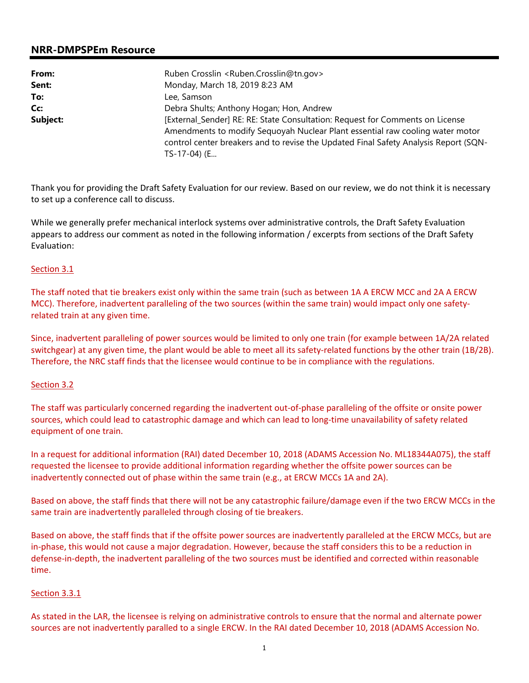# **NRR-DMPSPEm Resource**

| From:    | Ruben Crosslin <ruben.crosslin@tn.gov></ruben.crosslin@tn.gov>                                                                                                                           |  |  |
|----------|------------------------------------------------------------------------------------------------------------------------------------------------------------------------------------------|--|--|
| Sent:    | Monday, March 18, 2019 8:23 AM                                                                                                                                                           |  |  |
| To:      | Lee, Samson                                                                                                                                                                              |  |  |
| Cc:      | Debra Shults; Anthony Hogan; Hon, Andrew                                                                                                                                                 |  |  |
| Subject: | [External_Sender] RE: RE: State Consultation: Request for Comments on License                                                                                                            |  |  |
|          | Amendments to modify Sequoyah Nuclear Plant essential raw cooling water motor<br>control center breakers and to revise the Updated Final Safety Analysis Report (SQN-<br>$TS-17-04$ ) (E |  |  |

Thank you for providing the Draft Safety Evaluation for our review. Based on our review, we do not think it is necessary to set up a conference call to discuss.

While we generally prefer mechanical interlock systems over administrative controls, the Draft Safety Evaluation appears to address our comment as noted in the following information / excerpts from sections of the Draft Safety Evaluation:

#### Section 3.1

The staff noted that tie breakers exist only within the same train (such as between 1A A ERCW MCC and 2A A ERCW MCC). Therefore, inadvertent paralleling of the two sources (within the same train) would impact only one safetyrelated train at any given time.

Since, inadvertent paralleling of power sources would be limited to only one train (for example between 1A/2A related switchgear) at any given time, the plant would be able to meet all its safety-related functions by the other train (1B/2B). Therefore, the NRC staff finds that the licensee would continue to be in compliance with the regulations.

#### Section 3.2

The staff was particularly concerned regarding the inadvertent out-of-phase paralleling of the offsite or onsite power sources, which could lead to catastrophic damage and which can lead to long-time unavailability of safety related equipment of one train.

In a request for additional information (RAI) dated December 10, 2018 (ADAMS Accession No. ML18344A075), the staff requested the licensee to provide additional information regarding whether the offsite power sources can be inadvertently connected out of phase within the same train (e.g., at ERCW MCCs 1A and 2A).

Based on above, the staff finds that there will not be any catastrophic failure/damage even if the two ERCW MCCs in the same train are inadvertently paralleled through closing of tie breakers.

Based on above, the staff finds that if the offsite power sources are inadvertently paralleled at the ERCW MCCs, but are in-phase, this would not cause a major degradation. However, because the staff considers this to be a reduction in defense-in-depth, the inadvertent paralleling of the two sources must be identified and corrected within reasonable time.

### Section 3.3.1

As stated in the LAR, the licensee is relying on administrative controls to ensure that the normal and alternate power sources are not inadvertently paralled to a single ERCW. In the RAI dated December 10, 2018 (ADAMS Accession No.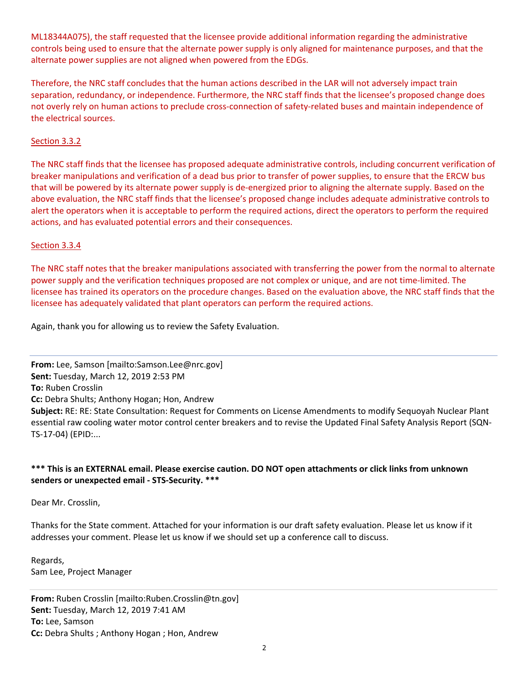ML18344A075), the staff requested that the licensee provide additional information regarding the administrative controls being used to ensure that the alternate power supply is only aligned for maintenance purposes, and that the alternate power supplies are not aligned when powered from the EDGs.

Therefore, the NRC staff concludes that the human actions described in the LAR will not adversely impact train separation, redundancy, or independence. Furthermore, the NRC staff finds that the licensee's proposed change does not overly rely on human actions to preclude cross-connection of safety-related buses and maintain independence of the electrical sources.

## Section 3.3.2

The NRC staff finds that the licensee has proposed adequate administrative controls, including concurrent verification of breaker manipulations and verification of a dead bus prior to transfer of power supplies, to ensure that the ERCW bus that will be powered by its alternate power supply is de-energized prior to aligning the alternate supply. Based on the above evaluation, the NRC staff finds that the licensee's proposed change includes adequate administrative controls to alert the operators when it is acceptable to perform the required actions, direct the operators to perform the required actions, and has evaluated potential errors and their consequences.

### Section 3.3.4

The NRC staff notes that the breaker manipulations associated with transferring the power from the normal to alternate power supply and the verification techniques proposed are not complex or unique, and are not time-limited. The licensee has trained its operators on the procedure changes. Based on the evaluation above, the NRC staff finds that the licensee has adequately validated that plant operators can perform the required actions.

Again, thank you for allowing us to review the Safety Evaluation.

**From:** Lee, Samson [mailto:Samson.Lee@nrc.gov] **Sent:** Tuesday, March 12, 2019 2:53 PM **To:** Ruben Crosslin **Cc:** Debra Shults; Anthony Hogan; Hon, Andrew **Subject:** RE: RE: State Consultation: Request for Comments on License Amendments to modify Sequoyah Nuclear Plant essential raw cooling water motor control center breakers and to revise the Updated Final Safety Analysis Report (SQN-TS-17-04) (EPID:...

## **\*\*\* This is an EXTERNAL email. Please exercise caution. DO NOT open attachments or click links from unknown senders or unexpected email - STS-Security. \*\*\***

Dear Mr. Crosslin,

Thanks for the State comment. Attached for your information is our draft safety evaluation. Please let us know if it addresses your comment. Please let us know if we should set up a conference call to discuss.

Regards, Sam Lee, Project Manager

**From:** Ruben Crosslin [mailto:Ruben.Crosslin@tn.gov] **Sent:** Tuesday, March 12, 2019 7:41 AM **To:** Lee, Samson **Cc:** Debra Shults ; Anthony Hogan ; Hon, Andrew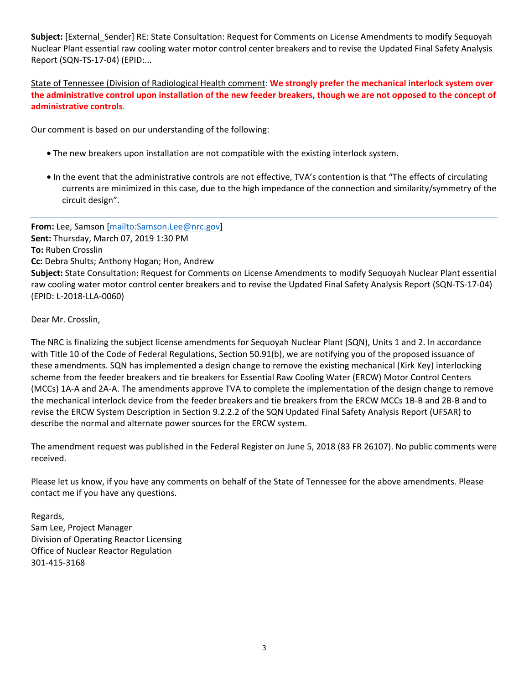**Subject:** [External\_Sender] RE: State Consultation: Request for Comments on License Amendments to modify Sequoyah Nuclear Plant essential raw cooling water motor control center breakers and to revise the Updated Final Safety Analysis Report (SQN-TS-17-04) (EPID:...

State of Tennessee (Division of Radiological Health comment: **We strongly prefer** t**he mechanical interlock system over the administrative control upon installation of the new feeder breakers, though we are not opposed to the concept of administrative controls**.

Our comment is based on our understanding of the following:

- The new breakers upon installation are not compatible with the existing interlock system.
- In the event that the administrative controls are not effective, TVA's contention is that "The effects of circulating currents are minimized in this case, due to the high impedance of the connection and similarity/symmetry of the circuit design".

**From:** Lee, Samson [mailto:Samson.Lee@nrc.gov] **Sent:** Thursday, March 07, 2019 1:30 PM **To:** Ruben Crosslin **Cc:** Debra Shults; Anthony Hogan; Hon, Andrew **Subject:** State Consultation: Request for Comments on License Amendments to modify Sequoyah Nuclear Plant essential raw cooling water motor control center breakers and to revise the Updated Final Safety Analysis Report (SQN-TS-17-04) (EPID: L-2018-LLA-0060)

Dear Mr. Crosslin,

The NRC is finalizing the subject license amendments for Sequoyah Nuclear Plant (SQN), Units 1 and 2. In accordance with Title 10 of the Code of Federal Regulations, Section 50.91(b), we are notifying you of the proposed issuance of these amendments. SQN has implemented a design change to remove the existing mechanical (Kirk Key) interlocking scheme from the feeder breakers and tie breakers for Essential Raw Cooling Water (ERCW) Motor Control Centers (MCCs) 1A-A and 2A-A. The amendments approve TVA to complete the implementation of the design change to remove the mechanical interlock device from the feeder breakers and tie breakers from the ERCW MCCs 1B-B and 2B-B and to revise the ERCW System Description in Section 9.2.2.2 of the SQN Updated Final Safety Analysis Report (UFSAR) to describe the normal and alternate power sources for the ERCW system.

The amendment request was published in the Federal Register on June 5, 2018 (83 FR 26107). No public comments were received.

Please let us know, if you have any comments on behalf of the State of Tennessee for the above amendments. Please contact me if you have any questions.

Regards, Sam Lee, Project Manager Division of Operating Reactor Licensing Office of Nuclear Reactor Regulation 301-415-3168